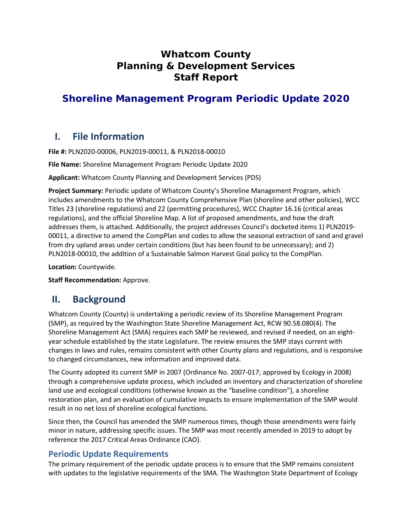# **Whatcom County Planning & Development Services Staff Report**

# **Shoreline Management Program Periodic Update 2020**

# **I. File Information**

**File #:** PLN2020-00006, PLN2019-00011, & PLN2018-00010

**File Name:** Shoreline Management Program Periodic Update 2020

**Applicant:** Whatcom County Planning and Development Services (PDS)

**Project Summary:** Periodic update of Whatcom County's Shoreline Management Program, which includes amendments to the Whatcom County Comprehensive Plan (shoreline and other policies), WCC Titles 23 (shoreline regulations) and 22 (permitting procedures), WCC Chapter 16.16 (critical areas regulations), and the official Shoreline Map. A list of proposed amendments, and how the draft addresses them, is attached. Additionally, the project addresses Council's docketed items 1) PLN2019- 00011, a directive to amend the CompPlan and codes to allow the seasonal extraction of sand and gravel from dry upland areas under certain conditions (but has been found to be unnecessary); and 2) PLN2018-00010, the addition of a Sustainable Salmon Harvest Goal policy to the CompPlan.

**Location:** Countywide.

**Staff Recommendation:** Approve.

# **II. Background**

Whatcom County (County) is undertaking a periodic review of its Shoreline Management Program (SMP), as required by the Washington State Shoreline Management Act, RCW 90.58.080(4). The Shoreline Management Act (SMA) requires each SMP be reviewed, and revised if needed, on an eightyear schedule established by the state Legislature. The review ensures the SMP stays current with changes in laws and rules, remains consistent with other County plans and regulations, and is responsive to changed circumstances, new information and improved data.

The County adopted its current SMP in 2007 (Ordinance No. 2007-017; approved by Ecology in 2008) through a comprehensive update process, which included an inventory and characterization of shoreline land use and ecological conditions (otherwise known as the "baseline condition"), a shoreline restoration plan, and an evaluation of cumulative impacts to ensure implementation of the SMP would result in no net loss of shoreline ecological functions.

Since then, the Council has amended the SMP numerous times, though those amendments were fairly minor in nature, addressing specific issues. The SMP was most recently amended in 2019 to adopt by reference the 2017 Critical Areas Ordinance (CAO).

# **Periodic Update Requirements**

The primary requirement of the periodic update process is to ensure that the SMP remains consistent with updates to the legislative requirements of the SMA. The Washington State Department of Ecology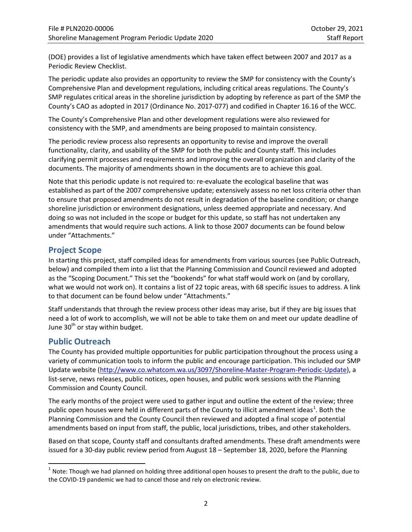(DOE) provides a list of legislative amendments which have taken effect between 2007 and 2017 as a Periodic Review Checklist.

The periodic update also provides an opportunity to review the SMP for consistency with the County's Comprehensive Plan and development regulations, including critical areas regulations. The County's SMP regulates critical areas in the shoreline jurisdiction by adopting by reference as part of the SMP the County's CAO as adopted in 2017 (Ordinance No. 2017-077) and codified in Chapter 16.16 of the WCC.

The County's Comprehensive Plan and other development regulations were also reviewed for consistency with the SMP, and amendments are being proposed to maintain consistency.

The periodic review process also represents an opportunity to revise and improve the overall functionality, clarity, and usability of the SMP for both the public and County staff. This includes clarifying permit processes and requirements and improving the overall organization and clarity of the documents. The majority of amendments shown in the documents are to achieve this goal.

Note that this periodic update is not required to: re-evaluate the ecological baseline that was established as part of the 2007 comprehensive update; extensively assess no net loss criteria other than to ensure that proposed amendments do not result in degradation of the baseline condition; or change shoreline jurisdiction or environment designations, unless deemed appropriate and necessary. And doing so was not included in the scope or budget for this update, so staff has not undertaken any amendments that would require such actions. A link to those 2007 documents can be found below under "Attachments."

## **Project Scope**

In starting this project, staff compiled ideas for amendments from various sources (see [Public Outreach,](#page-1-0) below) and compiled them into a list that the Planning Commission and Council reviewed and adopted as the "Scoping Document." This set the "bookends" for what staff would work on (and by corollary, what we would not work on). It contains a list of 22 topic areas, with 68 specific issues to address. A link to that document can be found below under "Attachments."

Staff understands that through the review process other ideas may arise, but if they are big issues that need a lot of work to accomplish, we will not be able to take them on and meet our update deadline of June  $30<sup>th</sup>$  or stay within budget.

## <span id="page-1-0"></span>**Public Outreach**

The County has provided multiple opportunities for public participation throughout the process using a variety of communication tools to inform the public and encourage participation. This included our SMP Update website [\(http://www.co.whatcom.wa.us/3097/Shoreline-Master-Program-Periodic-Update\)](http://www.co.whatcom.wa.us/3097/Shoreline-Master-Program-Periodic-Update), a list-serve, news releases, public notices, open houses, and public work sessions with the Planning Commission and County Council.

The early months of the project were used to gather input and outline the extent of the review; three public open houses were held in different parts of the County to illicit amendment ideas<sup>[1](#page-1-1)</sup>. Both the Planning Commission and the County Council then reviewed and adopted a final scope of potential amendments based on input from staff, the public, local jurisdictions, tribes, and other stakeholders.

Based on that scope, County staff and consultants drafted amendments. These draft amendments were issued for a 30-day public review period from August 18 – September 18, 2020, before the Planning

<span id="page-1-1"></span> $1$  Note: Though we had planned on holding three additional open houses to present the draft to the public, due to the COVID-19 pandemic we had to cancel those and rely on electronic review.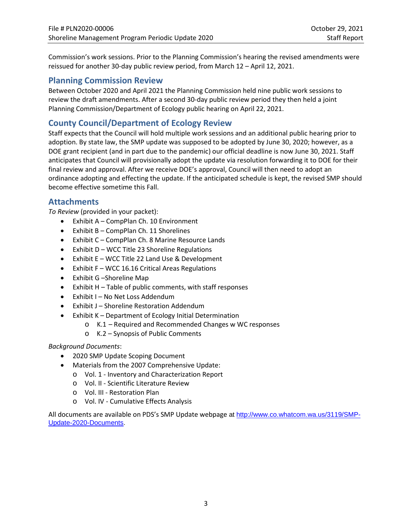Commission's work sessions. Prior to the Planning Commission's hearing the revised amendments were reissued for another 30-day public review period, from March 12 – April 12, 2021.

## **Planning Commission Review**

Between October 2020 and April 2021 the Planning Commission held nine public work sessions to review the draft amendments. After a second 30-day public review period they then held a joint Planning Commission/Department of Ecology public hearing on April 22, 2021.

# **County Council/Department of Ecology Review**

Staff expects that the Council will hold multiple work sessions and an additional public hearing prior to adoption. By state law, the SMP update was supposed to be adopted by June 30, 2020; however, as a DOE grant recipient (and in part due to the pandemic) our official deadline is now June 30, 2021. Staff anticipates that Council will provisionally adopt the update via resolution forwarding it to DOE for their final review and approval. After we receive DOE's approval, Council will then need to adopt an ordinance adopting and effecting the update. If the anticipated schedule is kept, the revised SMP should become effective sometime this Fall.

## **Attachments**

*To Review* (provided in your packet):

- Exhibit A CompPlan Ch. 10 Environment
- Exhibit B CompPlan Ch. 11 Shorelines
- Exhibit C CompPlan Ch. 8 Marine Resource Lands
- Exhibit D WCC Title 23 Shoreline Regulations
- Exhibit E WCC Title 22 Land Use & Development
- Exhibit F WCC 16.16 Critical Areas Regulations
- Exhibit G –Shoreline Map
- Exhibit H Table of public comments, with staff responses
- Exhibit I No Net Loss Addendum
- Exhibit J Shoreline Restoration Addendum
- Exhibit K Department of Ecology Initial Determination
	- o K.1 Required and Recommended Changes w WC responses
	- o K.2 Synopsis of Public Comments

#### *Background Documents*:

- 2020 SMP Update Scoping Document
- Materials from the 2007 Comprehensive Update:
	- o Vol. 1 Inventory and Characterization Report
		- o Vol. II Scientific Literature Review
		- o Vol. III Restoration Plan
		- o Vol. IV Cumulative Effects Analysis

All documents are available on PDS's SMP Update webpage at [http://www.co.whatcom.wa.us/3119/SMP-](http://www.co.whatcom.wa.us/3119/SMP-Update-2020-Documents)[Update-2020-Documents.](http://www.co.whatcom.wa.us/3119/SMP-Update-2020-Documents)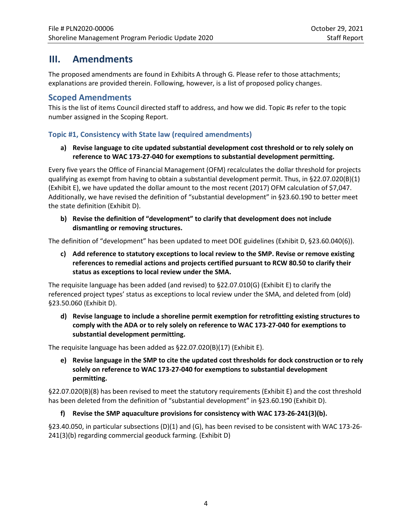# **III. Amendments**

The proposed amendments are found in Exhibits A through G. Please refer to those attachments; explanations are provided therein. Following, however, is a list of proposed policy changes.

## **Scoped Amendments**

This is the list of items Council directed staff to address, and how we did. Topic #s refer to the topic number assigned in the Scoping Report.

## **Topic #1, Consistency with State law (required amendments)**

## **a) Revise language to cite updated substantial development cost threshold or to rely solely on reference to WAC 173-27-040 for exemptions to substantial development permitting.**

Every five years the Office of Financial Management (OFM) recalculates the dollar threshold for projects qualifying as exempt from having to obtain a substantial development permit. Thus, in §22.07.020(B)(1) (Exhibit E), we have updated the dollar amount to the most recent (2017) OFM calculation of \$7,047. Additionally, we have revised the definition of "substantial development" in §23.60.190 to better meet the state definition (Exhibit D).

**b) Revise the definition of "development" to clarify that development does not include dismantling or removing structures.** 

The definition of "development" has been updated to meet DOE guidelines (Exhibit D, §23.60.040(6)).

**c) Add reference to statutory exceptions to local review to the SMP. Revise or remove existing references to remedial actions and projects certified pursuant to RCW 80.50 to clarify their status as exceptions to local review under the SMA.**

The requisite language has been added (and revised) to §22.07.010(G) (Exhibit E) to clarify the referenced project types' status as exceptions to local review under the SMA, and deleted from (old) §23.50.060 (Exhibit D).

**d) Revise language to include a shoreline permit exemption for retrofitting existing structures to comply with the ADA or to rely solely on reference to WAC 173-27-040 for exemptions to substantial development permitting.**

The requisite language has been added as §22.07.020(B)(17) (Exhibit E).

**e) Revise language in the SMP to cite the updated cost thresholds for dock construction or to rely solely on reference to WAC 173-27-040 for exemptions to substantial development permitting.**

§22.07.020(B)(8) has been revised to meet the statutory requirements (Exhibit E) and the cost threshold has been deleted from the definition of "substantial development" in §23.60.190 (Exhibit D).

## **f) Revise the SMP aquaculture provisions for consistency with WAC 173-26-241(3)(b).**

§23.40.050, in particular subsections (D)(1) and (G), has been revised to be consistent with WAC 173-26- 241(3)(b) regarding commercial geoduck farming. (Exhibit D)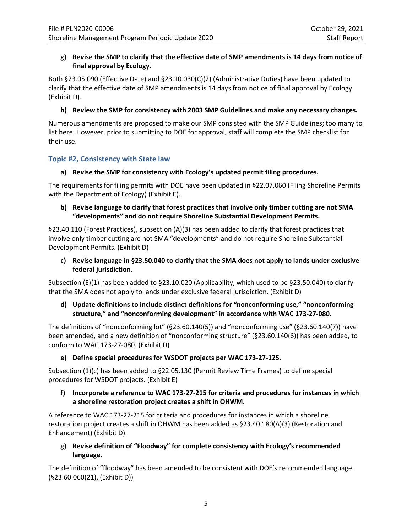## **g) Revise the SMP to clarify that the effective date of SMP amendments is 14 days from notice of final approval by Ecology.**

Both §23.05.090 (Effective Date) and §23.10.030(C)(2) (Administrative Duties) have been updated to clarify that the effective date of SMP amendments is 14 days from notice of final approval by Ecology (Exhibit D).

## **h) Review the SMP for consistency with 2003 SMP Guidelines and make any necessary changes.**

Numerous amendments are proposed to make our SMP consisted with the SMP Guidelines; too many to list here. However, prior to submitting to DOE for approval, staff will complete the SMP checklist for their use.

## **Topic #2, Consistency with State law**

## **a) Revise the SMP for consistency with Ecology's updated permit filing procedures.**

The requirements for filing permits with DOE have been updated in §22.07.060 (Filing Shoreline Permits with the Department of Ecology) (Exhibit E).

## **b) Revise language to clarify that forest practices that involve only timber cutting are not SMA "developments" and do not require Shoreline Substantial Development Permits.**

§23.40.110 (Forest Practices), subsection (A)(3) has been added to clarify that forest practices that involve only timber cutting are not SMA "developments" and do not require Shoreline Substantial Development Permits. (Exhibit D)

**c) Revise language in §23.50.040 to clarify that the SMA does not apply to lands under exclusive federal jurisdiction.** 

Subsection (E)(1) has been added to §23.10.020 (Applicability, which used to be §23.50.040) to clarify that the SMA does not apply to lands under exclusive federal jurisdiction. (Exhibit D)

## **d) Update definitions to include distinct definitions for "nonconforming use," "nonconforming structure," and "nonconforming development" in accordance with WAC 173-27-080.**

The definitions of "nonconforming lot" (§23.60.140(5)) and "nonconforming use" (§23.60.140(7)) have been amended, and a new definition of "nonconforming structure" (§23.60.140(6)) has been added, to conform to WAC 173-27-080. (Exhibit D)

#### **e) Define special procedures for WSDOT projects per WAC 173-27-125.**

Subsection (1)(c) has been added to §22.05.130 (Permit Review Time Frames) to define special procedures for WSDOT projects. (Exhibit E)

#### **f) Incorporate a reference to WAC 173-27-215 for criteria and procedures for instances in which a shoreline restoration project creates a shift in OHWM.**

A reference to WAC 173-27-215 for criteria and procedures for instances in which a shoreline restoration project creates a shift in OHWM has been added as §23.40.180(A)(3) (Restoration and Enhancement) (Exhibit D).

## **g) Revise definition of "Floodway" for complete consistency with Ecology's recommended language.**

The definition of "floodway" has been amended to be consistent with DOE's recommended language. (§23.60.060(21), (Exhibit D))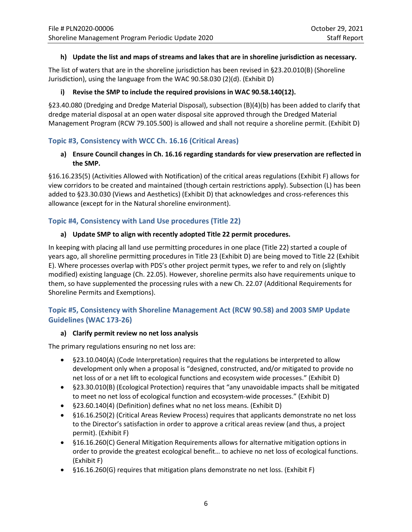#### **h) Update the list and maps of streams and lakes that are in shoreline jurisdiction as necessary.**

The list of waters that are in the shoreline jurisdiction has been revised in §23.20.010(B) (Shoreline Jurisdiction), using the language from the WAC 90.58.030 (2)(d). (Exhibit D)

## **i) Revise the SMP to include the required provisions in WAC 90.58.140(12).**

§23.40.080 (Dredging and Dredge Material Disposal), subsection (B)(4)(b) has been added to clarify that dredge material disposal at an open water disposal site approved through the Dredged Material Management Program (RCW 79.105.500) is allowed and shall not require a shoreline permit. (Exhibit D)

## **Topic #3, Consistency with WCC Ch. 16.16 (Critical Areas)**

## **a) Ensure Council changes in Ch. 16.16 regarding standards for view preservation are reflected in the SMP.**

§16.16.235(5) (Activities Allowed with Notification) of the critical areas regulations (Exhibit F) allows for view corridors to be created and maintained (though certain restrictions apply). Subsection (L) has been added to §23.30.030 (Views and Aesthetics) (Exhibit D) that acknowledges and cross-references this allowance (except for in the Natural shoreline environment).

## **Topic #4, Consistency with Land Use procedures (Title 22)**

## **a) Update SMP to align with recently adopted Title 22 permit procedures.**

In keeping with placing all land use permitting procedures in one place (Title 22) started a couple of years ago, all shoreline permitting procedures in Title 23 (Exhibit D) are being moved to Title 22 (Exhibit E). Where processes overlap with PDS's other project permit types, we refer to and rely on (slightly modified) existing language (Ch. 22.05). However, shoreline permits also have requirements unique to them, so have supplemented the processing rules with a new Ch. 22.07 (Additional Requirements for Shoreline Permits and Exemptions).

## **Topic #5, Consistency with Shoreline Management Act (RCW 90.58) and 2003 SMP Update Guidelines (WAC 173-26)**

#### **a) Clarify permit review no net loss analysis**

The primary regulations ensuring no net loss are:

- §23.10.040(A) (Code Interpretation) requires that the regulations be interpreted to allow development only when a proposal is "designed, constructed, and/or mitigated to provide no net loss of or a net lift to ecological functions and ecosystem wide processes." (Exhibit D)
- §23.30.010(B) (Ecological Protection) requires that "any unavoidable impacts shall be mitigated to meet no net loss of ecological function and ecosystem-wide processes." (Exhibit D)
- §23.60.140(4) (Definition) defines what no net loss means. (Exhibit D)
- §16.16.250(2) (Critical Areas Review Process) requires that applicants demonstrate no net loss to the Director's satisfaction in order to approve a critical areas review (and thus, a project permit). (Exhibit F)
- §16.16.260(C) General Mitigation Requirements allows for alternative mitigation options in order to provide the greatest ecological benefit… to achieve no net loss of ecological functions. (Exhibit F)
- §16.16.260(G) requires that mitigation plans demonstrate no net loss. (Exhibit F)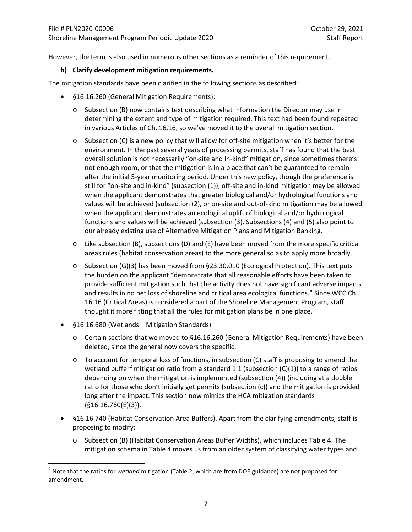However, the term is also used in numerous other sections as a reminder of this requirement.

#### **b) Clarify development mitigation requirements.**

The mitigation standards have been clarified in the following sections as described:

- §16.16.260 (General Mitigation Requirements):
	- $\circ$  Subsection (B) now contains text describing what information the Director may use in determining the extent and type of mitigation required. This text had been found repeated in various Articles of Ch. 16.16, so we've moved it to the overall mitigation section.
	- $\circ$  Subsection (C) is a new policy that will allow for off-site mitigation when it's better for the environment. In the past several years of processing permits, staff has found that the best overall solution is not necessarily "on-site and in-kind" mitigation, since sometimes there's not enough room, or that the mitigation is in a place that can't be guaranteed to remain after the initial 5-year monitoring period. Under this new policy, though the preference is still for "on-site and in-kind" (subsection (1)), off-site and in-kind mitigation may be allowed when the applicant demonstrates that greater biological and/or hydrological functions and values will be achieved (subsection (2), or on-site and out-of-kind mitigation may be allowed when the applicant demonstrates an ecological uplift of biological and/or hydrological functions and values will be achieved (subsection (3). Subsections (4) and (5) also point to our already existing use of Alternative Mitigation Plans and Mitigation Banking.
	- o Like subsection (B), subsections (D) and (E) have been moved from the more specific critical areas rules (habitat conservation areas) to the more general so as to apply more broadly.
	- o Subsection (G)(3) has been moved from §23.30.010 (Ecological Protection). This text puts the burden on the applicant "demonstrate that all reasonable efforts have been taken to provide sufficient mitigation such that the activity does not have significant adverse impacts and results in no net loss of shoreline and critical area ecological functions." Since WCC Ch. 16.16 (Critical Areas) is considered a part of the Shoreline Management Program, staff thought it more fitting that all the rules for mitigation plans be in one place.
- §16.16.680 (Wetlands Mitigation Standards)
	- o Certain sections that we moved to §16.16.260 (General Mitigation Requirements) have been deleted, since the general now covers the specific.
	- $\circ$  To account for temporal loss of functions, in subsection (C) staff is proposing to amend the wetland buffer<sup>[2](#page-6-0)</sup> mitigation ratio from a standard 1:1 (subsection  $(C)(1)$ ) to a range of ratios depending on when the mitigation is implemented (subsection (4)) (including at a double ratio for those who don't initially get permits (subsection (c)) and the mitigation is provided long after the impact. This section now mimics the HCA mitigation standards (§16.16.760(E)(3)).
- §16.16.740 (Habitat Conservation Area Buffers). Apart from the clarifying amendments, staff is proposing to modify:
	- o Subsection (B) (Habitat Conservation Areas Buffer Widths), which includes Table 4. The mitigation schema in Table 4 moves us from an older system of classifying water types and

<span id="page-6-0"></span><sup>2</sup> Note that the ratios for *wetland* mitigation (Table 2, which are from DOE guidance) are not proposed for amendment.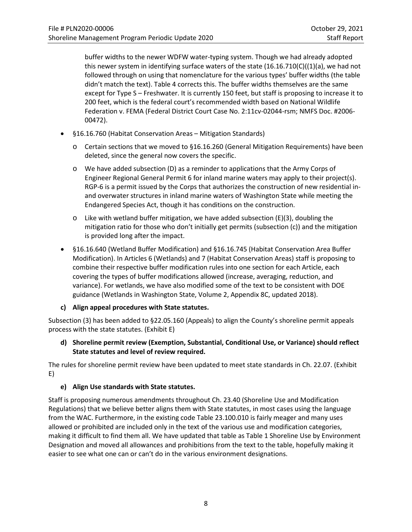buffer widths to the newer WDFW water-typing system. Though we had already adopted this newer system in identifying surface waters of the state  $(16.16.710(C)((1)(a))$ , we had not followed through on using that nomenclature for the various types' buffer widths (the table didn't match the text). Table 4 corrects this. The buffer widths themselves are the same except for Type S – Freshwater. It is currently 150 feet, but staff is proposing to increase it to 200 feet, which is the federal court's recommended width based on National Wildlife Federation v. FEMA (Federal District Court Case No. 2:11cv-02044-rsm; NMFS Doc. #2006- 00472).

- §16.16.760 (Habitat Conservation Areas Mitigation Standards)
	- o Certain sections that we moved to §16.16.260 (General Mitigation Requirements) have been deleted, since the general now covers the specific.
	- o We have added subsection (D) as a reminder to applications that the Army Corps of Engineer Regional General Permit 6 for inland marine waters may apply to their project(s). RGP-6 is a permit issued by the Corps that authorizes the construction of new residential inand overwater structures in inland marine waters of Washington State while meeting the Endangered Species Act, though it has conditions on the construction.
	- $\circ$  Like with wetland buffer mitigation, we have added subsection (E)(3), doubling the mitigation ratio for those who don't initially get permits (subsection (c)) and the mitigation is provided long after the impact.
- §16.16.640 (Wetland Buffer Modification) and §16.16.745 (Habitat Conservation Area Buffer Modification). In Articles 6 (Wetlands) and 7 (Habitat Conservation Areas) staff is proposing to combine their respective buffer modification rules into one section for each Article, each covering the types of buffer modifications allowed (increase, averaging, reduction, and variance). For wetlands, we have also modified some of the text to be consistent with DOE guidance (Wetlands in Washington State, Volume 2, Appendix 8C, updated 2018).

## **c) Align appeal procedures with State statutes.**

Subsection (3) has been added to §22.05.160 (Appeals) to align the County's shoreline permit appeals process with the state statutes. (Exhibit E)

## **d) Shoreline permit review (Exemption, Substantial, Conditional Use, or Variance) should reflect State statutes and level of review required.**

The rules for shoreline permit review have been updated to meet state standards in Ch. 22.07. (Exhibit E)

## **e) Align Use standards with State statutes.**

Staff is proposing numerous amendments throughout Ch. 23.40 (Shoreline Use and Modification Regulations) that we believe better aligns them with State statutes, in most cases using the language from the WAC. Furthermore, in the existing code Table 23.100.010 is fairly meager and many uses allowed or prohibited are included only in the text of the various use and modification categories, making it difficult to find them all. We have updated that table as Table 1 Shoreline Use by Environment Designation and moved all allowances and prohibitions from the text to the table, hopefully making it easier to see what one can or can't do in the various environment designations.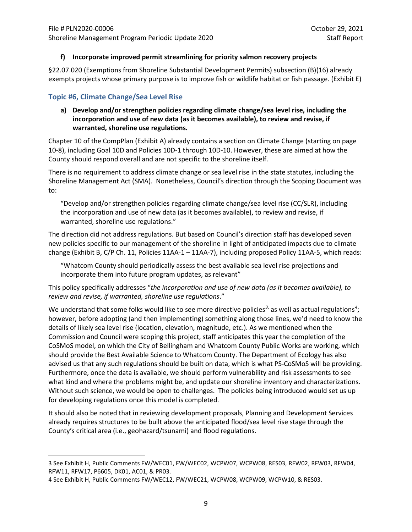#### **f) Incorporate improved permit streamlining for priority salmon recovery projects**

§22.07.020 (Exemptions from Shoreline Substantial Development Permits) subsection (B)(16) already exempts projects whose primary purpose is to improve fish or wildlife habitat or fish passage. (Exhibit E)

## **Topic #6, Climate Change/Sea Level Rise**

## **a) Develop and/or strengthen policies regarding climate change/sea level rise, including the incorporation and use of new data (as it becomes available), to review and revise, if warranted, shoreline use regulations.**

Chapter 10 of the CompPlan (Exhibit A) already contains a section on Climate Change (starting on page 10-8), including Goal 10D and Policies 10D-1 through 10D-10. However, these are aimed at how the County should respond overall and are not specific to the shoreline itself.

There is no requirement to address climate change or sea level rise in the state statutes, including the Shoreline Management Act (SMA). Nonetheless, Council's direction through the Scoping Document was to:

"Develop and/or strengthen policies regarding climate change/sea level rise (CC/SLR), including the incorporation and use of new data (as it becomes available), to review and revise, if warranted, shoreline use regulations."

The direction did not address regulations. But based on Council's direction staff has developed seven new policies specific to our management of the shoreline in light of anticipated impacts due to climate change (Exhibit B, C/P Ch. 11, Policies 11AA-1 – 11AA-7), including proposed Policy 11AA-5, which reads:

"Whatcom County should periodically assess the best available sea level rise projections and incorporate them into future program updates, as relevant"

This policy specifically addresses "*the incorporation and use of new data (as it becomes available), to review and revise, if warranted, shoreline use regulations*."

We understand that some folks would like to see more directive policies<sup>[3](#page-8-0),</sup> as well as actual regulations<sup>[4](#page-8-1)</sup>; however, before adopting (and then implementing) something along those lines, we'd need to know the details of likely sea level rise (location, elevation, magnitude, etc.). As we mentioned when the Commission and Council were scoping this project, staff anticipates this year the completion of the CoSMoS model, on which the City of Bellingham and Whatcom County Public Works are working, which should provide the Best Available Science to Whatcom County. The Department of Ecology has also advised us that any such regulations should be built on data, which is what PS-CoSMoS will be providing. Furthermore, once the data is available, we should perform vulnerability and risk assessments to see what kind and where the problems might be, and update our shoreline inventory and characterizations. Without such science, we would be open to challenges. The policies being introduced would set us up for developing regulations once this model is completed.

It should also be noted that in reviewing development proposals, Planning and Development Services already requires structures to be built above the anticipated flood/sea level rise stage through the County's critical area (i.e., geohazard/tsunami) and flood regulations.

<span id="page-8-0"></span> $\overline{a}$ 3 See Exhibit H, Public Comments FW/WEC01, FW/WEC02, WCPW07, WCPW08, RES03, RFW02, RFW03, RFW04, RFW11, RFW17, P6605, DK01, AC01, & PR03.

<span id="page-8-1"></span><sup>4</sup> See Exhibit H, Public Comments FW/WEC12, FW/WEC21, WCPW08, WCPW09, WCPW10, & RES03.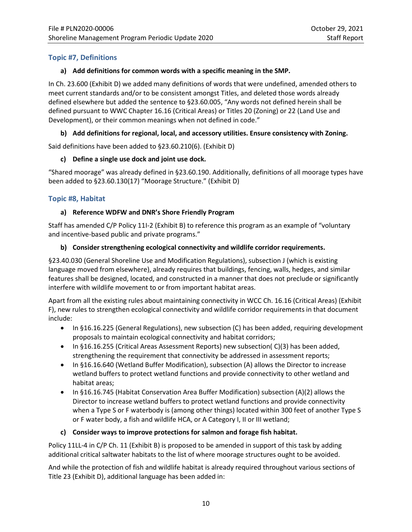## **Topic #7, Definitions**

## **a) Add definitions for common words with a specific meaning in the SMP.**

In Ch. 23.600 (Exhibit D) we added many definitions of words that were undefined, amended others to meet current standards and/or to be consistent amongst Titles, and deleted those words already defined elsewhere but added the sentence to §23.60.005, "Any words not defined herein shall be defined pursuant to WWC Chapter 16.16 (Critical Areas) or Titles 20 (Zoning) or 22 (Land Use and Development), or their common meanings when not defined in code."

## **b) Add definitions for regional, local, and accessory utilities. Ensure consistency with Zoning.**

Said definitions have been added to §23.60.210(6). (Exhibit D)

## **c) Define a single use dock and joint use dock.**

"Shared moorage" was already defined in §23.60.190. Additionally, definitions of all moorage types have been added to §23.60.130(17) "Moorage Structure." (Exhibit D)

## **Topic #8, Habitat**

## **a) Reference WDFW and DNR's Shore Friendly Program**

Staff has amended C/P Policy 11I-2 (Exhibit B) to reference this program as an example of "voluntary and incentive-based public and private programs."

## **b) Consider strengthening ecological connectivity and wildlife corridor requirements.**

§23.40.030 (General Shoreline Use and Modification Regulations), subsection J (which is existing language moved from elsewhere), already requires that buildings, fencing, walls, hedges, and similar features shall be designed, located, and constructed in a manner that does not preclude or significantly interfere with wildlife movement to or from important habitat areas.

Apart from all the existing rules about maintaining connectivity in WCC Ch. 16.16 (Critical Areas) (Exhibit F), new rules to strengthen ecological connectivity and wildlife corridor requirements in that document include:

- In §16.16.225 (General Regulations), new subsection (C) has been added, requiring development proposals to maintain ecological connectivity and habitat corridors;
- In §16.16.255 (Critical Areas Assessment Reports) new subsection( C)(3) has been added, strengthening the requirement that connectivity be addressed in assessment reports;
- In §16.16.640 (Wetland Buffer Modification), subsection (A) allows the Director to increase wetland buffers to protect wetland functions and provide connectivity to other wetland and habitat areas;
- In §16.16.745 (Habitat Conservation Area Buffer Modification) subsection (A)(2) allows the Director to increase wetland buffers to protect wetland functions and provide connectivity when a Type S or F waterbody is (among other things) located within 300 feet of another Type S or F water body, a fish and wildlife HCA, or A Category I, II or III wetland;

## **c) Consider ways to improve protections for salmon and forage fish habitat.**

Policy 11LL-4 in C/P Ch. 11 (Exhibit B) is proposed to be amended in support of this task by adding additional critical saltwater habitats to the list of where moorage structures ought to be avoided.

And while the protection of fish and wildlife habitat is already required throughout various sections of Title 23 (Exhibit D), additional language has been added in: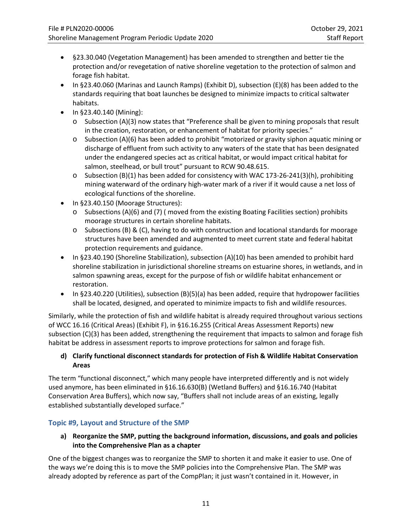- §23.30.040 (Vegetation Management) has been amended to strengthen and better tie the protection and/or revegetation of native shoreline vegetation to the protection of salmon and forage fish habitat.
- In §23.40.060 (Marinas and Launch Ramps) (Exhibit D), subsection (E)(8) has been added to the standards requiring that boat launches be designed to minimize impacts to critical saltwater habitats.
- In §23.40.140 (Mining):
	- o Subsection (A)(3) now states that "Preference shall be given to mining proposals that result in the creation, restoration, or enhancement of habitat for priority species."
	- $\circ$  Subsection (A)(6) has been added to prohibit "motorized or gravity siphon aquatic mining or discharge of effluent from such activity to any waters of the state that has been designated under the endangered species act as critical habitat, or would impact critical habitat for salmon, steelhead, or bull trout" pursuant to RCW 90.48.615.
	- $\circ$  Subsection (B)(1) has been added for consistency with WAC 173-26-241(3)(h), prohibiting mining waterward of the ordinary high-water mark of a river if it would cause a net loss of ecological functions of the shoreline.
- In §23.40.150 (Moorage Structures):
	- $\circ$  Subsections (A)(6) and (7) (moved from the existing Boating Facilities section) prohibits moorage structures in certain shoreline habitats.
	- o Subsections (B) & (C), having to do with construction and locational standards for moorage structures have been amended and augmented to meet current state and federal habitat protection requirements and guidance.
- In §23.40.190 (Shoreline Stabilization), subsection (A)(10) has been amended to prohibit hard shoreline stabilization in jurisdictional shoreline streams on estuarine shores, in wetlands, and in salmon spawning areas, except for the purpose of fish or wildlife habitat enhancement or restoration.
- In §23.40.220 (Utilities), subsection (B)(5)(a) has been added, require that hydropower facilities shall be located, designed, and operated to minimize impacts to fish and wildlife resources.

Similarly, while the protection of fish and wildlife habitat is already required throughout various sections of WCC 16.16 (Critical Areas) (Exhibit F), in §16.16.255 (Critical Areas Assessment Reports) new subsection (C)(3) has been added, strengthening the requirement that impacts to salmon and forage fish habitat be address in assessment reports to improve protections for salmon and forage fish.

## **d) Clarify functional disconnect standards for protection of Fish & Wildlife Habitat Conservation Areas**

The term "functional disconnect," which many people have interpreted differently and is not widely used anymore, has been eliminated in §16.16.630(B) (Wetland Buffers) and §16.16.740 (Habitat Conservation Area Buffers), which now say, "Buffers shall not include areas of an existing, legally established substantially developed surface."

## **Topic #9, Layout and Structure of the SMP**

## **a) Reorganize the SMP, putting the background information, discussions, and goals and policies into the Comprehensive Plan as a chapter**

One of the biggest changes was to reorganize the SMP to shorten it and make it easier to use. One of the ways we're doing this is to move the SMP policies into the Comprehensive Plan. The SMP was already adopted by reference as part of the CompPlan; it just wasn't contained in it. However, in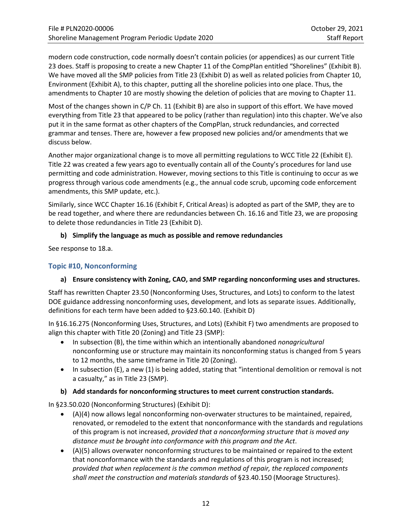modern code construction, code normally doesn't contain policies (or appendices) as our current Title 23 does. Staff is proposing to create a new Chapter 11 of the CompPlan entitled "Shorelines" (Exhibit B). We have moved all the SMP policies from Title 23 (Exhibit D) as well as related policies from Chapter 10, Environment (Exhibit A), to this chapter, putting all the shoreline policies into one place. Thus, the amendments to Chapter 10 are mostly showing the deletion of policies that are moving to Chapter 11.

Most of the changes shown in C/P Ch. 11 (Exhibit B) are also in support of this effort. We have moved everything from Title 23 that appeared to be policy (rather than regulation) into this chapter. We've also put it in the same format as other chapters of the CompPlan, struck redundancies, and corrected grammar and tenses. There are, however a few proposed new policies and/or amendments that we discuss below.

Another major organizational change is to move all permitting regulations to WCC Title 22 (Exhibit E). Title 22 was created a few years ago to eventually contain all of the County's procedures for land use permitting and code administration. However, moving sections to this Title is continuing to occur as we progress through various code amendments (e.g., the annual code scrub, upcoming code enforcement amendments, this SMP update, etc.).

Similarly, since WCC Chapter 16.16 (Exhibit F, Critical Areas) is adopted as part of the SMP, they are to be read together, and where there are redundancies between Ch. 16.16 and Title 23, we are proposing to delete those redundancies in Title 23 (Exhibit D).

## **b) Simplify the language as much as possible and remove redundancies**

See response to 18.a.

## **Topic #10, Nonconforming**

## **a) Ensure consistency with Zoning, CAO, and SMP regarding nonconforming uses and structures.**

Staff has rewritten Chapter 23.50 (Nonconforming Uses, Structures, and Lots) to conform to the latest DOE guidance addressing nonconforming uses, development, and lots as separate issues. Additionally, definitions for each term have been added to §23.60.140. (Exhibit D)

In §16.16.275 (Nonconforming Uses, Structures, and Lots) (Exhibit F) two amendments are proposed to align this chapter with Title 20 (Zoning) and Title 23 (SMP):

- In subsection (B), the time within which an intentionally abandoned *nonagricultural* nonconforming use or structure may maintain its nonconforming status is changed from 5 years to 12 months, the same timeframe in Title 20 (Zoning).
- In subsection (E), a new (1) is being added, stating that "intentional demolition or removal is not a casualty," as in Title 23 (SMP).

#### **b) Add standards for nonconforming structures to meet current construction standards.**

In §23.50.020 (Nonconforming Structures) (Exhibit D):

- (A)(4) now allows legal nonconforming non-overwater structures to be maintained, repaired, renovated, or remodeled to the extent that nonconformance with the standards and regulations of this program is not increased, *provided that a nonconforming structure that is moved any distance must be brought into conformance with this program and the Act*.
- (A)(5) allows overwater nonconforming structures to be maintained or repaired to the extent that nonconformance with the standards and regulations of this program is not increased; *provided that when replacement is the common method of repair, the replaced components shall meet the construction and materials standards* of §23.40.150 (Moorage Structures).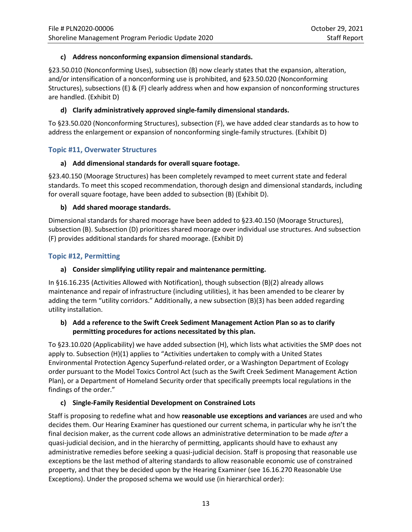## **c) Address nonconforming expansion dimensional standards.**

§23.50.010 (Nonconforming Uses), subsection (B) now clearly states that the expansion, alteration, and/or intensification of a nonconforming use is prohibited, and §23.50.020 (Nonconforming Structures), subsections (E) & (F) clearly address when and how expansion of nonconforming structures are handled. (Exhibit D)

## **d) Clarify administratively approved single-family dimensional standards.**

To §23.50.020 (Nonconforming Structures), subsection (F), we have added clear standards as to how to address the enlargement or expansion of nonconforming single-family structures. (Exhibit D)

## **Topic #11, Overwater Structures**

#### **a) Add dimensional standards for overall square footage.**

§23.40.150 (Moorage Structures) has been completely revamped to meet current state and federal standards. To meet this scoped recommendation, thorough design and dimensional standards, including for overall square footage, have been added to subsection (B) (Exhibit D).

#### **b) Add shared moorage standards.**

Dimensional standards for shared moorage have been added to §23.40.150 (Moorage Structures), subsection (B). Subsection (D) prioritizes shared moorage over individual use structures. And subsection (F) provides additional standards for shared moorage. (Exhibit D)

## **Topic #12, Permitting**

#### **a) Consider simplifying utility repair and maintenance permitting.**

In §16.16.235 (Activities Allowed with Notification), though subsection (B)(2) already allows maintenance and repair of infrastructure (including utilities), it has been amended to be clearer by adding the term "utility corridors." Additionally, a new subsection (B)(3) has been added regarding utility installation.

#### **b) Add a reference to the Swift Creek Sediment Management Action Plan so as to clarify permitting procedures for actions necessitated by this plan.**

To §23.10.020 (Applicability) we have added subsection (H), which lists what activities the SMP does not apply to. Subsection (H)(1) applies to "Activities undertaken to comply with a United States Environmental Protection Agency Superfund-related order, or a Washington Department of Ecology order pursuant to the Model Toxics Control Act (such as the Swift Creek Sediment Management Action Plan), or a Department of Homeland Security order that specifically preempts local regulations in the findings of the order."

#### **c) Single-Family Residential Development on Constrained Lots**

Staff is proposing to redefine what and how **reasonable use exceptions and variances** are used and who decides them. Our Hearing Examiner has questioned our current schema, in particular why he isn't the final decision maker, as the current code allows an administrative determination to be made *after* a quasi-judicial decision, and in the hierarchy of permitting, applicants should have to exhaust any administrative remedies before seeking a quasi-judicial decision. Staff is proposing that reasonable use exceptions be the last method of altering standards to allow reasonable economic use of constrained property, and that they be decided upon by the Hearing Examiner (see 16.16.270 Reasonable Use Exceptions). Under the proposed schema we would use (in hierarchical order):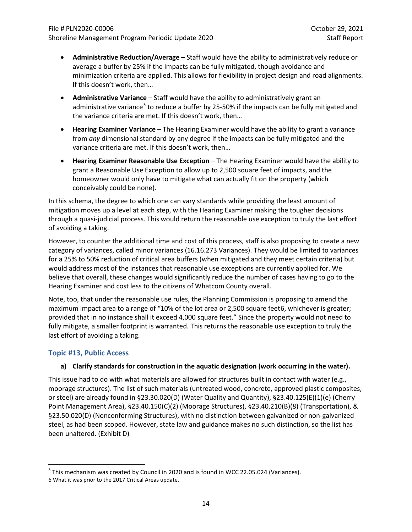- **Administrative Reduction/Average –** Staff would have the ability to administratively reduce or average a buffer by 25% if the impacts can be fully mitigated, though avoidance and minimization criteria are applied. This allows for flexibility in project design and road alignments. If this doesn't work, then…
- **Administrative Variance** Staff would have the ability to administratively grant an administrative variance<sup>[5](#page-13-0)</sup> to reduce a buffer by 25-50% if the impacts can be fully mitigated and the variance criteria are met. If this doesn't work, then…
- **Hearing Examiner Variance** The Hearing Examiner would have the ability to grant a variance from *any* dimensional standard by any degree if the impacts can be fully mitigated and the variance criteria are met. If this doesn't work, then…
- **Hearing Examiner Reasonable Use Exception** The Hearing Examiner would have the ability to grant a Reasonable Use Exception to allow up to 2,500 square feet of impacts, and the homeowner would only have to mitigate what can actually fit on the property (which conceivably could be none).

In this schema, the degree to which one can vary standards while providing the least amount of mitigation moves up a level at each step, with the Hearing Examiner making the tougher decisions through a quasi-judicial process. This would return the reasonable use exception to truly the last effort of avoiding a taking.

However, to counter the additional time and cost of this process, staff is also proposing to create a new category of variances, called minor variances (16.16.273 Variances). They would be limited to variances for a 25% to 50% reduction of critical area buffers (when mitigated and they meet certain criteria) but would address most of the instances that reasonable use exceptions are currently applied for. We believe that overall, these changes would significantly reduce the number of cases having to go to the Hearing Examiner and cost less to the citizens of Whatcom County overall.

Note, too, that under the reasonable use rules, the Planning Commission is proposing to amend the maximum impact area to a range of "10% of the lot area or 2,500 square feet[6,](#page-13-1) whichever is greater; provided that in no instance shall it exceed 4,000 square feet." Since the property would not need to fully mitigate, a smaller footprint is warranted. This returns the reasonable use exception to truly the last effort of avoiding a taking.

## **Topic #13, Public Access**

#### **a) Clarify standards for construction in the aquatic designation (work occurring in the water).**

This issue had to do with what materials are allowed for structures built in contact with water (e.g., moorage structures). The list of such materials (untreated wood, concrete, approved plastic composites, or steel) are already found in §23.30.020(D) (Water Quality and Quantity), §23.40.125(E)(1)(e) (Cherry Point Management Area), §23.40.150(C)(2) (Moorage Structures), §23.40.210(B)(8) (Transportation), & §23.50.020(D) (Nonconforming Structures), with no distinction between galvanized or non-galvanized steel, as had been scoped. However, state law and guidance makes no such distinction, so the list has been unaltered. (Exhibit D)

<span id="page-13-1"></span><span id="page-13-0"></span><sup>&</sup>lt;sup>5</sup> This mechanism was created by Council in 2020 and is found in WCC 22.05.024 (Variances). 6 What it was prior to the 2017 Critical Areas update.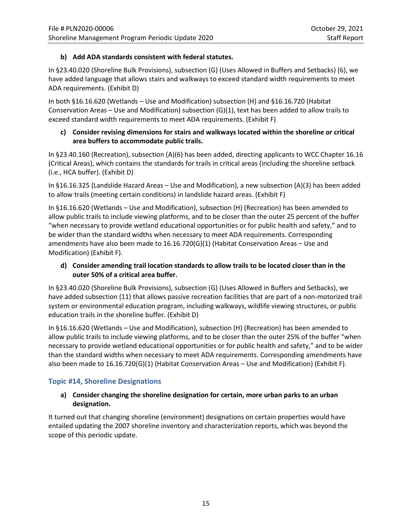## **b) Add ADA standards consistent with federal statutes.**

In §23.40.020 (Shoreline Bulk Provisions), subsection (G) (Uses Allowed in Buffers and Setbacks) (6), we have added language that allows stairs and walkways to exceed standard width requirements to meet ADA requirements. (Exhibit D)

In both §16.16.620 (Wetlands – Use and Modification) subsection (H) and §16.16.720 (Habitat Conservation Areas – Use and Modification) subsection (G)(1), text has been added to allow trails to exceed standard width requirements to meet ADA requirements. (Exhibit F)

### **c) Consider revising dimensions for stairs and walkways located within the shoreline or critical area buffers to accommodate public trails.**

In §23.40.160 (Recreation), subsection (A)(6) has been added, directing applicants to WCC Chapter 16.16 (Critical Areas), which contains the standards for trails in critical areas (including the shoreline setback (i.e., HCA buffer). (Exhibit D)

In §16.16.325 (Landslide Hazard Areas – Use and Modification), a new subsection (A)(3) has been added to allow trails (meeting certain conditions) in landslide hazard areas. (Exhibit F)

In §16.16.620 (Wetlands – Use and Modification), subsection (H) (Recreation) has been amended to allow public trails to include viewing platforms, and to be closer than the outer 25 percent of the buffer "when necessary to provide wetland educational opportunities or for public health and safety," and to be wider than the standard widths when necessary to meet ADA requirements. Corresponding amendments have also been made to 16.16.720(G)(1) (Habitat Conservation Areas – Use and Modification) (Exhibit F).

## **d) Consider amending trail location standards to allow trails to be located closer than in the outer 50% of a critical area buffer.**

In §23.40.020 (Shoreline Bulk Provisions), subsection (G) (Uses Allowed in Buffers and Setbacks), we have added subsection (11) that allows passive recreation facilities that are part of a non-motorized trail system or environmental education program, including walkways, wildlife viewing structures, or public education trails in the shoreline buffer. (Exhibit D)

In §16.16.620 (Wetlands – Use and Modification), subsection (H) (Recreation) has been amended to allow public trails to include viewing platforms, and to be closer than the outer 25% of the buffer "when necessary to provide wetland educational opportunities or for public health and safety," and to be wider than the standard widths when necessary to meet ADA requirements. Corresponding amendments have also been made to 16.16.720(G)(1) (Habitat Conservation Areas – Use and Modification) (Exhibit F).

## **Topic #14, Shoreline Designations**

## **a) Consider changing the shoreline designation for certain, more urban parks to an urban designation.**

It turned out that changing shoreline (environment) designations on certain properties would have entailed updating the 2007 shoreline inventory and characterization reports, which was beyond the scope of this periodic update.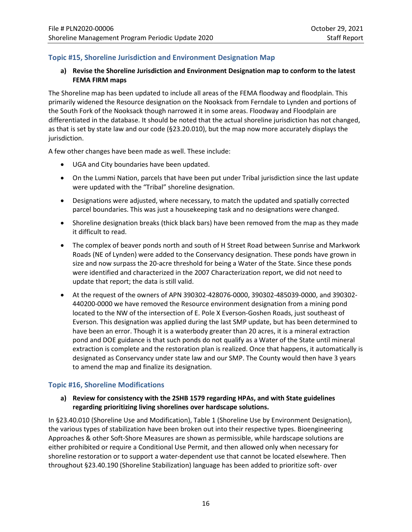## **Topic #15, Shoreline Jurisdiction and Environment Designation Map**

## **a) Revise the Shoreline Jurisdiction and Environment Designation map to conform to the latest FEMA FIRM maps**

The Shoreline map has been updated to include all areas of the FEMA floodway and floodplain. This primarily widened the Resource designation on the Nooksack from Ferndale to Lynden and portions of the South Fork of the Nooksack though narrowed it in some areas. Floodway and Floodplain are differentiated in the database. It should be noted that the actual shoreline jurisdiction has not changed, as that is set by state law and our code (§23.20.010), but the map now more accurately displays the jurisdiction.

A few other changes have been made as well. These include:

- UGA and City boundaries have been updated.
- On the Lummi Nation, parcels that have been put under Tribal jurisdiction since the last update were updated with the "Tribal" shoreline designation.
- Designations were adjusted, where necessary, to match the updated and spatially corrected parcel boundaries. This was just a housekeeping task and no designations were changed.
- Shoreline designation breaks (thick black bars) have been removed from the map as they made it difficult to read.
- The complex of beaver ponds north and south of H Street Road between Sunrise and Markwork Roads (NE of Lynden) were added to the Conservancy designation. These ponds have grown in size and now surpass the 20-acre threshold for being a Water of the State. Since these ponds were identified and characterized in the 2007 Characterization report, we did not need to update that report; the data is still valid.
- At the request of the owners of APN 390302-428076-0000, 390302-485039-0000, and 390302- 440200-0000 we have removed the Resource environment designation from a mining pond located to the NW of the intersection of E. Pole X Everson-Goshen Roads, just southeast of Everson. This designation was applied during the last SMP update, but has been determined to have been an error. Though it is a waterbody greater than 20 acres, it is a mineral extraction pond and DOE guidance is that such ponds do not qualify as a Water of the State until mineral extraction is complete and the restoration plan is realized. Once that happens, it automatically is designated as Conservancy under state law and our SMP. The County would then have 3 years to amend the map and finalize its designation.

## **Topic #16, Shoreline Modifications**

#### **a) Review for consistency with the 2SHB 1579 regarding HPAs, and with State guidelines regarding prioritizing living shorelines over hardscape solutions.**

In §23.40.010 (Shoreline Use and Modification), Table 1 (Shoreline Use by Environment Designation), the various types of stabilization have been broken out into their respective types. Bioengineering Approaches & other Soft-Shore Measures are shown as permissible, while hardscape solutions are either prohibited or require a Conditional Use Permit, and then allowed only when necessary for shoreline restoration or to support a water-dependent use that cannot be located elsewhere. Then throughout §23.40.190 (Shoreline Stabilization) language has been added to prioritize soft- over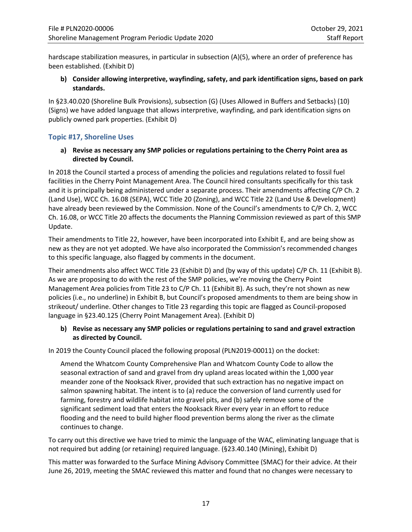hardscape stabilization measures, in particular in subsection (A)(5), where an order of preference has been established. (Exhibit D)

**b) Consider allowing interpretive, wayfinding, safety, and park identification signs, based on park standards.**

In §23.40.020 (Shoreline Bulk Provisions), subsection (G) (Uses Allowed in Buffers and Setbacks) (10) (Signs) we have added language that allows interpretive, wayfinding, and park identification signs on publicly owned park properties. (Exhibit D)

## **Topic #17, Shoreline Uses**

**a) Revise as necessary any SMP policies or regulations pertaining to the Cherry Point area as directed by Council.**

In 2018 the Council started a process of amending the policies and regulations related to fossil fuel facilities in the Cherry Point Management Area. The Council hired consultants specifically for this task and it is principally being administered under a separate process. Their amendments affecting C/P Ch. 2 (Land Use), WCC Ch. 16.08 (SEPA), WCC Title 20 (Zoning), and WCC Title 22 (Land Use & Development) have already been reviewed by the Commission. None of the Council's amendments to C/P Ch. 2, WCC Ch. 16.08, or WCC Title 20 affects the documents the Planning Commission reviewed as part of this SMP Update.

Their amendments to Title 22, however, have been incorporated into Exhibit E, and are being show as new as they are not yet adopted. We have also incorporated the Commission's recommended changes to this specific language, also flagged by comments in the document.

Their amendments also affect WCC Title 23 (Exhibit D) and (by way of this update) C/P Ch. 11 (Exhibit B). As we are proposing to do with the rest of the SMP policies, we're moving the Cherry Point Management Area policies from Title 23 to C/P Ch. 11 (Exhibit B). As such, they're not shown as new policies (i.e., no underline) in Exhibit B, but Council's proposed amendments to them are being show in strikeout/ underline. Other changes to Title 23 regarding this topic are flagged as Council-proposed language in §23.40.125 (Cherry Point Management Area). (Exhibit D)

## **b) Revise as necessary any SMP policies or regulations pertaining to sand and gravel extraction as directed by Council.**

In 2019 the County Council placed the following proposal (PLN2019-00011) on the docket:

Amend the Whatcom County Comprehensive Plan and Whatcom County Code to allow the seasonal extraction of sand and gravel from dry upland areas located within the 1,000 year meander zone of the Nooksack River, provided that such extraction has no negative impact on salmon spawning habitat. The intent is to (a) reduce the conversion of land currently used for farming, forestry and wildlife habitat into gravel pits, and (b) safely remove some of the significant sediment load that enters the Nooksack River every year in an effort to reduce flooding and the need to build higher flood prevention berms along the river as the climate continues to change.

To carry out this directive we have tried to mimic the language of the WAC, eliminating language that is not required but adding (or retaining) required language. (§23.40.140 (Mining), Exhibit D)

This matter was forwarded to the Surface Mining Advisory Committee (SMAC) for their advice. At their June 26, 2019, meeting the SMAC reviewed this matter and found that no changes were necessary to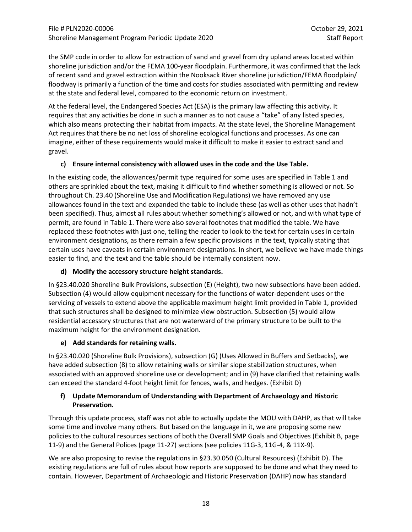the SMP code in order to allow for extraction of sand and gravel from dry upland areas located within shoreline jurisdiction and/or the FEMA 100-year floodplain. Furthermore, it was confirmed that the lack of recent sand and gravel extraction within the Nooksack River shoreline jurisdiction/FEMA floodplain/ floodway is primarily a function of the time and costs for studies associated with permitting and review at the state and federal level, compared to the economic return on investment.

At the federal level, the Endangered Species Act (ESA) is the primary law affecting this activity. It requires that any activities be done in such a manner as to not cause a "take" of any listed species, which also means protecting their habitat from impacts. At the state level, the Shoreline Management Act requires that there be no net loss of shoreline ecological functions and processes. As one can imagine, either of these requirements would make it difficult to make it easier to extract sand and gravel.

## **c) Ensure internal consistency with allowed uses in the code and the Use Table.**

In the existing code, the allowances/permit type required for some uses are specified in Table 1 and others are sprinkled about the text, making it difficult to find whether something is allowed or not. So throughout Ch. 23.40 (Shoreline Use and Modification Regulations) we have removed any use allowances found in the text and expanded the table to include these (as well as other uses that hadn't been specified). Thus, almost all rules about whether something's allowed or not, and with what type of permit, are found in Table 1. There were also several footnotes that modified the table. We have replaced these footnotes with just one, telling the reader to look to the text for certain uses in certain environment designations, as there remain a few specific provisions in the text, typically stating that certain uses have caveats in certain environment designations. In short, we believe we have made things easier to find, and the text and the table should be internally consistent now.

## **d) Modify the accessory structure height standards.**

In §23.40.020 Shoreline Bulk Provisions, subsection (E) (Height), two new subsections have been added. Subsection (4) would allow equipment necessary for the functions of water-dependent uses or the servicing of vessels to extend above the applicable maximum height limit provided in Table 1, provided that such structures shall be designed to minimize view obstruction. Subsection (5) would allow residential accessory structures that are not waterward of the primary structure to be built to the maximum height for the environment designation.

#### **e) Add standards for retaining walls.**

In §23.40.020 (Shoreline Bulk Provisions), subsection (G) (Uses Allowed in Buffers and Setbacks), we have added subsection (8) to allow retaining walls or similar slope stabilization structures, when associated with an approved shoreline use or development; and in (9) have clarified that retaining walls can exceed the standard 4-foot height limit for fences, walls, and hedges. (Exhibit D)

## **f) Update Memorandum of Understanding with Department of Archaeology and Historic Preservation.**

Through this update process, staff was not able to actually update the MOU with DAHP, as that will take some time and involve many others. But based on the language in it, we are proposing some new policies to the cultural resources sections of both the Overall SMP Goals and Objectives (Exhibit B, page 11-9) and the General Polices (page 11-27) sections (see policies 11G-3, 11G-4, & 11X-9).

We are also proposing to revise the regulations in §23.30.050 (Cultural Resources) (Exhibit D). The existing regulations are full of rules about how reports are supposed to be done and what they need to contain. However, Department of Archaeologic and Historic Preservation (DAHP) now has standard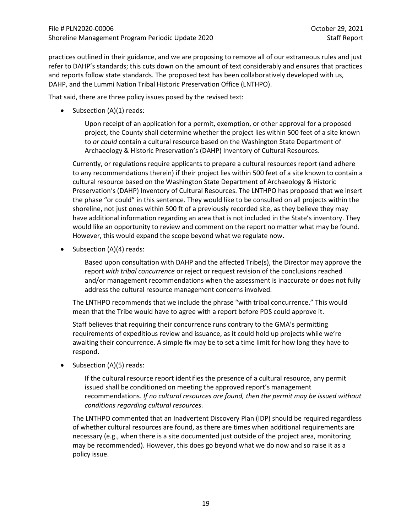practices outlined in their guidance, and we are proposing to remove all of our extraneous rules and just refer to DAHP's standards; this cuts down on the amount of text considerably and ensures that practices and reports follow state standards. The proposed text has been collaboratively developed with us, DAHP, and the Lummi Nation Tribal Historic Preservation Office (LNTHPO).

That said, there are three policy issues posed by the revised text:

• Subsection (A)(1) reads:

Upon receipt of an application for a permit, exemption, or other approval for a proposed project, the County shall determine whether the project lies within 500 feet of a site known to *or could* contain a cultural resource based on the Washington State Department of Archaeology & Historic Preservation's (DAHP) Inventory of Cultural Resources.

Currently, or regulations require applicants to prepare a cultural resources report (and adhere to any recommendations therein) if their project lies within 500 feet of a site known to contain a cultural resource based on the Washington State Department of Archaeology & Historic Preservation's (DAHP) Inventory of Cultural Resources. The LNTHPO has proposed that we insert the phase "or could" in this sentence. They would like to be consulted on all projects within the shoreline, not just ones within 500 ft of a previously recorded site, as they believe they may have additional information regarding an area that is not included in the State's inventory. They would like an opportunity to review and comment on the report no matter what may be found. However, this would expand the scope beyond what we regulate now.

• Subsection (A)(4) reads:

Based upon consultation with DAHP and the affected Tribe(s), the Director may approve the report *with tribal concurrence* or reject or request revision of the conclusions reached and/or management recommendations when the assessment is inaccurate or does not fully address the cultural resource management concerns involved.

The LNTHPO recommends that we include the phrase "with tribal concurrence." This would mean that the Tribe would have to agree with a report before PDS could approve it.

Staff believes that requiring their concurrence runs contrary to the GMA's permitting requirements of expeditious review and issuance, as it could hold up projects while we're awaiting their concurrence. A simple fix may be to set a time limit for how long they have to respond.

• Subsection (A)(5) reads:

If the cultural resource report identifies the presence of a cultural resource, any permit issued shall be conditioned on meeting the approved report's management recommendations. *If no cultural resources are found, then the permit may be issued without conditions regarding cultural resources.*

The LNTHPO commented that an Inadvertent Discovery Plan (IDP) should be required regardless of whether cultural resources are found, as there are times when additional requirements are necessary (e.g., when there is a site documented just outside of the project area, monitoring may be recommended). However, this does go beyond what we do now and so raise it as a policy issue.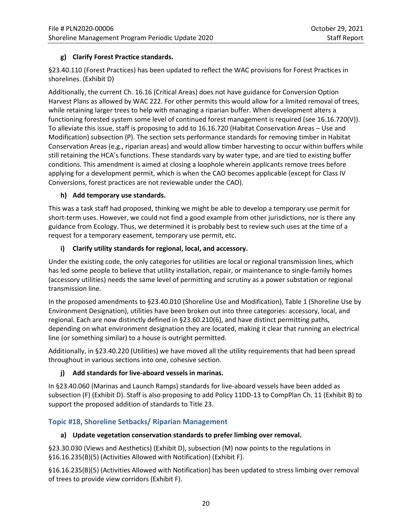## **g) Clarify Forest Practice standards.**

§23.40.110 (Forest Practices) has been updated to reflect the WAC provisions for Forest Practices in shorelines. (Exhibit D)

Additionally, the current Ch. 16.16 (Critical Areas) does not have guidance for Conversion Option Harvest Plans as allowed by WAC 222. For other permits this would allow for a limited removal of trees, while retaining larger trees to help with managing a riparian buffer. When development alters a functioning forested system some level of continued forest management is required (see 16.16.720(V)). To alleviate this issue, staff is proposing to add to 16.16.720 (Habitat Conservation Areas – Use and Modification) subsection (P). The section sets performance standards for removing timber in Habitat Conservation Areas (e.g., riparian areas) and would allow timber harvesting to occur within buffers while still retaining the HCA's functions. These standards vary by water type, and are tied to existing buffer conditions. This amendment is aimed at closing a loophole wherein applicants remove trees before applying for a development permit, which is when the CAO becomes applicable (except for Class IV Conversions, forest practices are not reviewable under the CAO).

## **h) Add temporary use standards.**

This was a task staff had proposed, thinking we might be able to develop a temporary use permit for short-term uses. However, we could not find a good example from other jurisdictions, nor is there any guidance from Ecology. Thus, we determined it is probably best to review such uses at the time of a request for a temporary easement, temporary use permit, etc.

## **i) Clarify utility standards for regional, local, and accessory.**

Under the existing code, the only categories for utilities are local or regional transmission lines, which has led some people to believe that utility installation, repair, or maintenance to single-family homes (accessory utilities) needs the same level of permitting and scrutiny as a power substation or regional transmission line.

In the proposed amendments to §23.40.010 (Shoreline Use and Modification), Table 1 (Shoreline Use by Environment Designation), utilities have been broken out into three categories: accessory, local, and regional. Each are now distinctly defined in §23.60.210(6), and have distinct permitting paths, depending on what environment designation they are located, making it clear that running an electrical line (or something similar) to a house is outright permitted.

Additionally, in §23.40.220 (Utilities) we have moved all the utility requirements that had been spread throughout in various sections into one, cohesive section.

## **j) Add standards for live-aboard vessels in marinas.**

In §23.40.060 (Marinas and Launch Ramps) standards for live-aboard vessels have been added as subsection (F) (Exhibit D). Staff is also proposing to add Policy 11DD-13 to CompPlan Ch. 11 (Exhibit B) to support the proposed addition of standards to Title 23.

## **Topic #18, Shoreline Setbacks/ Riparian Management**

## **a) Update vegetation conservation standards to prefer limbing over removal.**

§23.30.030 (Views and Aesthetics) (Exhibit D), subsection (M) now points to the regulations in §16.16.235(B)(5) (Activities Allowed with Notification) (Exhibit F).

§16.16.235(B)(5) (Activities Allowed with Notification) has been updated to stress limbing over removal of trees to provide view corridors (Exhibit F).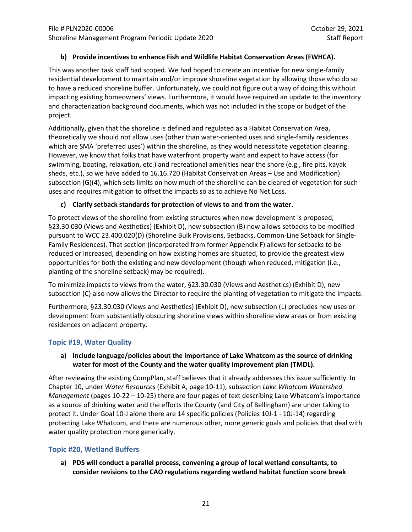## **b) Provide incentives to enhance Fish and Wildlife Habitat Conservation Areas (FWHCA).**

This was another task staff had scoped. We had hoped to create an incentive for new single-family residential development to maintain and/or improve shoreline vegetation by allowing those who do so to have a reduced shoreline buffer. Unfortunately, we could not figure out a way of doing this without impacting existing homeowners' views. Furthermore, it would have required an update to the inventory and characterization background documents, which was not included in the scope or budget of the project.

Additionally, given that the shoreline is defined and regulated as a Habitat Conservation Area, theoretically we should not allow uses (other than water-oriented uses and single-family residences which are SMA 'preferred uses') within the shoreline, as they would necessitate vegetation clearing. However, we know that folks that have waterfront property want and expect to have access (for swimming, boating, relaxation, etc.) and recreational amenities near the shore (e.g., fire pits, kayak sheds, etc.), so we have added to 16.16.720 (Habitat Conservation Areas – Use and Modification) subsection (G)(4), which sets limits on how much of the shoreline can be cleared of vegetation for such uses and requires mitigation to offset the impacts so as to achieve No Net Loss.

## **c) Clarify setback standards for protection of views to and from the water.**

To protect views of the shoreline from existing structures when new development is proposed, §23.30.030 (Views and Aesthetics) (Exhibit D), new subsection (B) now allows setbacks to be modified pursuant to WCC 23.400.020(D) (Shoreline Bulk Provisions, Setbacks, Common-Line Setback for Single-Family Residences). That section (incorporated from former Appendix F) allows for setbacks to be reduced or increased, depending on how existing homes are situated, to provide the greatest view opportunities for both the existing and new development (though when reduced, mitigation (i.e., planting of the shoreline setback) may be required).

To minimize impacts to views from the water, §23.30.030 (Views and Aesthetics) (Exhibit D), new subsection (C) also now allows the Director to require the planting of vegetation to mitigate the impacts.

Furthermore, §23.30.030 (Views and Aesthetics) (Exhibit D), new subsection (L) precludes new uses or development from substantially obscuring shoreline views within shoreline view areas or from existing residences on adjacent property.

#### **Topic #19, Water Quality**

## **a) Include language/policies about the importance of Lake Whatcom as the source of drinking water for most of the County and the water quality improvement plan (TMDL).**

After reviewing the existing CompPlan, staff believes that it already addresses this issue sufficiently. In Chapter 10, under *Water Resources* (Exhibit A, page 10-11), subsection *Lake Whatcom Watershed Management* (pages 10-22 – 10-25) there are four pages of text describing Lake Whatcom's importance as a source of drinking water and the efforts the County (and City of Bellingham) are under taking to protect it. Under Goal 10-J alone there are 14 specific policies (Policies 10J-1 - 10J-14) regarding protecting Lake Whatcom, and there are numerous other, more generic goals and policies that deal with water quality protection more generically.

## **Topic #20, Wetland Buffers**

**a) PDS will conduct a parallel process, convening a group of local wetland consultants, to consider revisions to the CAO regulations regarding wetland habitat function score break**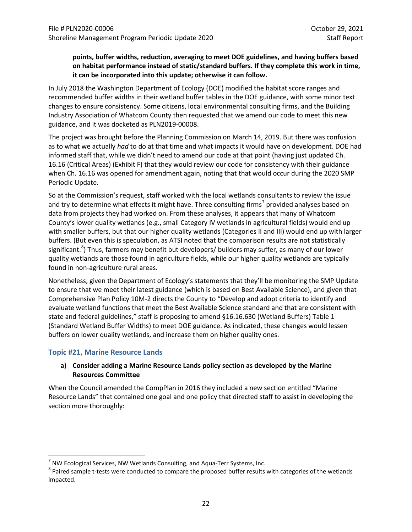## **points, buffer widths, reduction, averaging to meet DOE guidelines, and having buffers based on habitat performance instead of static/standard buffers. If they complete this work in time, it can be incorporated into this update; otherwise it can follow.**

In July 2018 the Washington Department of Ecology (DOE) modified the habitat score ranges and recommended buffer widths in their wetland buffer tables in the DOE guidance, with some minor text changes to ensure consistency. Some citizens, local environmental consulting firms, and the Building Industry Association of Whatcom County then requested that we amend our code to meet this new guidance, and it was docketed as PLN2019-00008.

The project was brought before the Planning Commission on March 14, 2019. But there was confusion as to what we actually *had* to do at that time and what impacts it would have on development. DOE had informed staff that, while we didn't need to amend our code at that point (having just updated Ch. 16.16 (Critical Areas) (Exhibit F) that they would review our code for consistency with their guidance when Ch. 16.16 was opened for amendment again, noting that that would occur during the 2020 SMP Periodic Update.

So at the Commission's request, staff worked with the local wetlands consultants to review the issue and try to determine what effects it might have. Three consulting firms<sup>[7](#page-21-0)</sup> provided analyses based on data from projects they had worked on. From these analyses, it appears that many of Whatcom County's lower quality wetlands (e.g., small Category IV wetlands in agricultural fields) would end up with smaller buffers, but that our higher quality wetlands (Categories II and III) would end up with larger buffers. (But even this is speculation, as ATSI noted that the comparison results are not statistically significant.<sup>[8](#page-21-1)</sup>) Thus, farmers may benefit but developers/ builders may suffer, as many of our lower quality wetlands are those found in agriculture fields, while our higher quality wetlands are typically found in non-agriculture rural areas.

Nonetheless, given the Department of Ecology's statements that they'll be monitoring the SMP Update to ensure that we meet their latest guidance (which is based on Best Available Science), and given that Comprehensive Plan Policy 10M-2 directs the County to "Develop and adopt criteria to identify and evaluate wetland functions that meet the Best Available Science standard and that are consistent with state and federal guidelines," staff is proposing to amend §16.16.630 (Wetland Buffers) Table 1 (Standard Wetland Buffer Widths) to meet DOE guidance. As indicated, these changes would lessen buffers on lower quality wetlands, and increase them on higher quality ones.

#### **Topic #21, Marine Resource Lands**

#### **a) Consider adding a Marine Resource Lands policy section as developed by the Marine Resources Committee**

When the Council amended the CompPlan in 2016 they included a new section entitled "Marine Resource Lands" that contained one goal and one policy that directed staff to assist in developing the section more thoroughly:

<span id="page-21-1"></span><span id="page-21-0"></span><sup>&</sup>lt;sup>7</sup> NW Ecological Services, NW Wetlands Consulting, and Aqua-Terr Systems, Inc.<br><sup>8</sup> Paired sample t-tests were conducted to compare the proposed buffer results with categories of the wetlands impacted.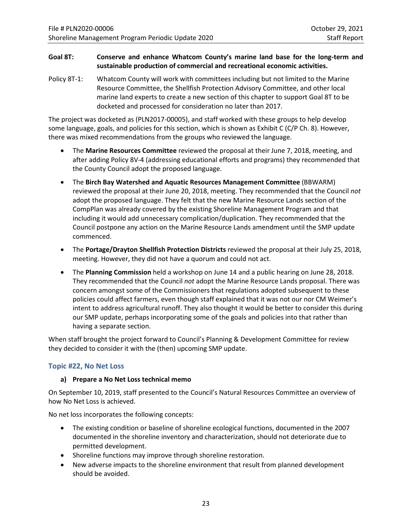## **Goal 8T: Conserve and enhance Whatcom County's marine land base for the long-term and sustainable production of commercial and recreational economic activities.**

Policy 8T-1: Whatcom County will work with committees including but not limited to the Marine Resource Committee, the Shellfish Protection Advisory Committee, and other local marine land experts to create a new section of this chapter to support Goal 8T to be docketed and processed for consideration no later than 2017.

The project was docketed as (PLN2017-00005), and staff worked with these groups to help develop some language, goals, and policies for this section, which is shown as Exhibit C (C/P Ch. 8). However, there was mixed recommendations from the groups who reviewed the language.

- The **Marine Resources Committee** reviewed the proposal at their June 7, 2018, meeting, and after adding Policy 8V-4 (addressing educational efforts and programs) they recommended that the County Council adopt the proposed language.
- The **Birch Bay Watershed and Aquatic Resources Management Committee** (BBWARM) reviewed the proposal at their June 20, 2018, meeting. They recommended that the Council *not* adopt the proposed language. They felt that the new Marine Resource Lands section of the CompPlan was already covered by the existing Shoreline Management Program and that including it would add unnecessary complication/duplication. They recommended that the Council postpone any action on the Marine Resource Lands amendment until the SMP update commenced.
- The **Portage/Drayton Shellfish Protection Districts** reviewed the proposal at their July 25, 2018, meeting. However, they did not have a quorum and could not act.
- The **Planning Commission** held a workshop on June 14 and a public hearing on June 28, 2018. They recommended that the Council *not* adopt the Marine Resource Lands proposal. There was concern amongst some of the Commissioners that regulations adopted subsequent to these policies could affect farmers, even though staff explained that it was not our nor CM Weimer's intent to address agricultural runoff. They also thought it would be better to consider this during our SMP update, perhaps incorporating some of the goals and policies into that rather than having a separate section.

When staff brought the project forward to Council's Planning & Development Committee for review they decided to consider it with the (then) upcoming SMP update.

#### **Topic #22, No Net Loss**

#### **a) Prepare a No Net Loss technical memo**

On September 10, 2019, staff presented to the Council's Natural Resources Committee an overview of how No Net Loss is achieved.

No net loss incorporates the following concepts:

- The existing condition or baseline of shoreline ecological functions, documented in the 2007 documented in the shoreline inventory and characterization, should not deteriorate due to permitted development.
- Shoreline functions may improve through shoreline restoration.
- New adverse impacts to the shoreline environment that result from planned development should be avoided.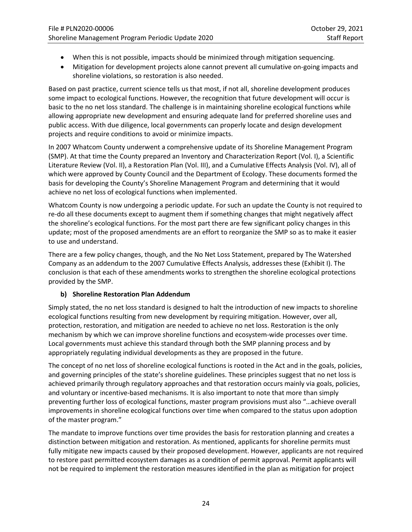- When this is not possible, impacts should be minimized through mitigation sequencing.
- Mitigation for development projects alone cannot prevent all cumulative on-going impacts and shoreline violations, so restoration is also needed.

Based on past practice, current science tells us that most, if not all, shoreline development produces some impact to ecological functions. However, the recognition that future development will occur is basic to the no net loss standard. The challenge is in maintaining shoreline ecological functions while allowing appropriate new development and ensuring adequate land for preferred shoreline uses and public access. With due diligence, local governments can properly locate and design development projects and require conditions to avoid or minimize impacts.

In 2007 Whatcom County underwent a comprehensive update of its Shoreline Management Program (SMP). At that time the County prepared an Inventory and Characterization Report (Vol. I), a Scientific Literature Review (Vol. II), a Restoration Plan (Vol. III), and a Cumulative Effects Analysis (Vol. IV), all of which were approved by County Council and the Department of Ecology. These documents formed the basis for developing the County's Shoreline Management Program and determining that it would achieve no net loss of ecological functions when implemented.

Whatcom County is now undergoing a periodic update. For such an update the County is not required to re-do all these documents except to augment them if something changes that might negatively affect the shoreline's ecological functions. For the most part there are few significant policy changes in this update; most of the proposed amendments are an effort to reorganize the SMP so as to make it easier to use and understand.

There are a few policy changes, though, and the No Net Loss Statement, prepared by The Watershed Company as an addendum to the 2007 Cumulative Effects Analysis, addresses these (Exhibit I). The conclusion is that each of these amendments works to strengthen the shoreline ecological protections provided by the SMP.

## **b) Shoreline Restoration Plan Addendum**

Simply stated, the no net loss standard is designed to halt the introduction of new impacts to shoreline ecological functions resulting from new development by requiring mitigation. However, over all, protection, restoration, and mitigation are needed to achieve no net loss. Restoration is the only mechanism by which we can improve shoreline functions and ecosystem-wide processes over time. Local governments must achieve this standard through both the SMP planning process and by appropriately regulating individual developments as they are proposed in the future.

The concept of no net loss of shoreline ecological functions is rooted in the Act and in the goals, policies, and governing principles of the state's shoreline guidelines. These principles suggest that no net loss is achieved primarily through regulatory approaches and that restoration occurs mainly via goals, policies, and voluntary or incentive-based mechanisms. It is also important to note that more than simply preventing further loss of ecological functions, master program provisions must also "…achieve overall improvements in shoreline ecological functions over time when compared to the status upon adoption of the master program."

The mandate to improve functions over time provides the basis for restoration planning and creates a distinction between mitigation and restoration. As mentioned, applicants for shoreline permits must fully mitigate new impacts caused by their proposed development. However, applicants are not required to restore past permitted ecosystem damages as a condition of permit approval. Permit applicants will not be required to implement the restoration measures identified in the plan as mitigation for project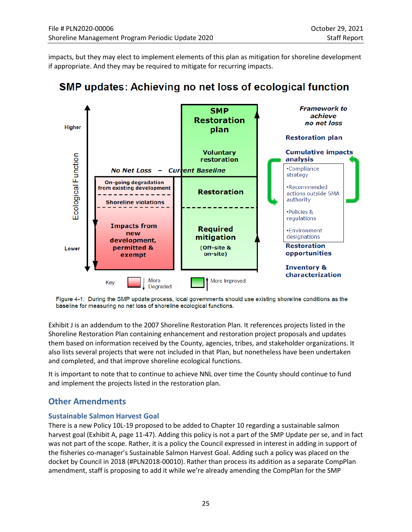impacts, but they may elect to implement elements of this plan as mitigation for shoreline development if appropriate. And they may be required to mitigate for recurring impacts.



# **SMP updates: Achieving no net loss of ecological function**



Exhibit J is an addendum to the 2007 Shoreline Restoration Plan. It references projects listed in the Shoreline Restoration Plan containing enhancement and restoration project proposals and updates them based on information received by the County, agencies, tribes, and stakeholder organizations. It also lists several projects that were not included in that Plan, but nonetheless have been undertaken and completed, and that improve shoreline ecological functions.

It is important to note that to continue to achieve NNL over time the County should continue to fund and implement the projects listed in the restoration plan.

# **Other Amendments**

#### **Sustainable Salmon Harvest Goal**

There is a new Policy 10L-19 proposed to be added to Chapter 10 regarding a sustainable salmon harvest goal (Exhibit A, page 11-47). Adding this policy is not a part of the SMP Update per se, and in fact was not part of the scope. Rather, it is a policy the Council expressed in interest in adding in support of the fisheries co-manager's Sustainable Salmon Harvest Goal. Adding such a policy was placed on the docket by Council in 2018 (#PLN2018-00010). Rather than process its addition as a separate CompPlan amendment, staff is proposing to add it while we're already amending the CompPlan for the SMP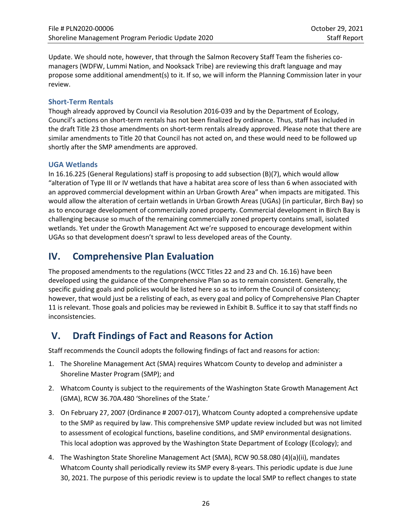Update. We should note, however, that through the Salmon Recovery Staff Team the fisheries comanagers (WDFW, Lummi Nation, and Nooksack Tribe) are reviewing this draft language and may propose some additional amendment(s) to it. If so, we will inform the Planning Commission later in your review.

## **Short-Term Rentals**

Though already approved by Council via Resolution 2016-039 and by the Department of Ecology, Council's actions on short-term rentals has not been finalized by ordinance. Thus, staff has included in the draft Title 23 those amendments on short-term rentals already approved. Please note that there are similar amendments to Title 20 that Council has not acted on, and these would need to be followed up shortly after the SMP amendments are approved.

## **UGA Wetlands**

In 16.16.225 (General Regulations) staff is proposing to add subsection (B)(7), which would allow "alteration of Type III or IV wetlands that have a habitat area score of less than 6 when associated with an approved commercial development within an Urban Growth Area" when impacts are mitigated. This would allow the alteration of certain wetlands in Urban Growth Areas (UGAs) (in particular, Birch Bay) so as to encourage development of commercially zoned property. Commercial development in Birch Bay is challenging because so much of the remaining commercially zoned property contains small, isolated wetlands. Yet under the Growth Management Act we're supposed to encourage development within UGAs so that development doesn't sprawl to less developed areas of the County.

# **IV. Comprehensive Plan Evaluation**

The proposed amendments to the regulations (WCC Titles 22 and 23 and Ch. 16.16) have been developed using the guidance of the Comprehensive Plan so as to remain consistent. Generally, the specific guiding goals and policies would be listed here so as to inform the Council of consistency; however, that would just be a relisting of each, as every goal and policy of Comprehensive Plan Chapter 11 is relevant. Those goals and policies may be reviewed in Exhibit B. Suffice it to say that staff finds no inconsistencies.

# **V. Draft Findings of Fact and Reasons for Action**

Staff recommends the Council adopts the following findings of fact and reasons for action:

- 1. The Shoreline Management Act (SMA) requires Whatcom County to develop and administer a Shoreline Master Program (SMP); and
- 2. Whatcom County is subject to the requirements of the Washington State Growth Management Act (GMA), RCW 36.70A.480 'Shorelines of the State.'
- 3. On February 27, 2007 (Ordinance # 2007-017), Whatcom County adopted a comprehensive update to the SMP as required by law. This comprehensive SMP update review included but was not limited to assessment of ecological functions, baseline conditions, and SMP environmental designations. This local adoption was approved by the Washington State Department of Ecology (Ecology); and
- 4. The Washington State Shoreline Management Act (SMA), RCW 90.58.080 (4)(a)(ii), mandates Whatcom County shall periodically review its SMP every 8-years. This periodic update is due June 30, 2021. The purpose of this periodic review is to update the local SMP to reflect changes to state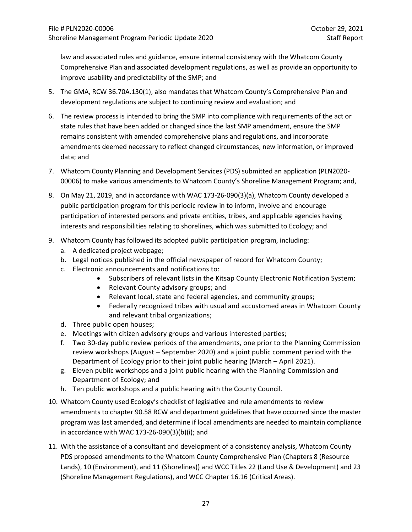law and associated rules and guidance, ensure internal consistency with the Whatcom County Comprehensive Plan and associated development regulations, as well as provide an opportunity to improve usability and predictability of the SMP; and

- 5. The GMA, RCW 36.70A.130(1), also mandates that Whatcom County's Comprehensive Plan and development regulations are subject to continuing review and evaluation; and
- 6. The review process is intended to bring the SMP into compliance with requirements of the act or state rules that have been added or changed since the last SMP amendment, ensure the SMP remains consistent with amended comprehensive plans and regulations, and incorporate amendments deemed necessary to reflect changed circumstances, new information, or improved data; and
- 7. Whatcom County Planning and Development Services (PDS) submitted an application (PLN2020- 00006) to make various amendments to Whatcom County's Shoreline Management Program; and,
- 8. On May 21, 2019, and in accordance with WAC 173-26-090(3)(a), Whatcom County developed a public participation program for this periodic review in to inform, involve and encourage participation of interested persons and private entities, tribes, and applicable agencies having interests and responsibilities relating to shorelines, which was submitted to Ecology; and
- 9. Whatcom County has followed its adopted public participation program, including:
	- a. A dedicated project webpage;
	- b. Legal notices published in the official newspaper of record for Whatcom County;
	- c. Electronic announcements and notifications to:
		- Subscribers of relevant lists in the Kitsap County Electronic Notification System;
		- Relevant County advisory groups; and
		- Relevant local, state and federal agencies, and community groups;
		- Federally recognized tribes with usual and accustomed areas in Whatcom County and relevant tribal organizations;
	- d. Three public open houses;
	- e. Meetings with citizen advisory groups and various interested parties;
	- f. Two 30-day public review periods of the amendments, one prior to the Planning Commission review workshops (August – September 2020) and a joint public comment period with the Department of Ecology prior to their joint public hearing (March – April 2021).
	- g. Eleven public workshops and a joint public hearing with the Planning Commission and Department of Ecology; and
	- h. Ten public workshops and a public hearing with the County Council.
- 10. Whatcom County used Ecology's checklist of legislative and rule amendments to review amendments to chapter 90.58 RCW and department guidelines that have occurred since the master program was last amended, and determine if local amendments are needed to maintain compliance in accordance with WAC 173-26-090(3)(b)(i); and
- 11. With the assistance of a consultant and development of a consistency analysis, Whatcom County PDS proposed amendments to the Whatcom County Comprehensive Plan (Chapters 8 (Resource Lands), 10 (Environment), and 11 (Shorelines)) and WCC Titles 22 (Land Use & Development) and 23 (Shoreline Management Regulations), and WCC Chapter 16.16 (Critical Areas).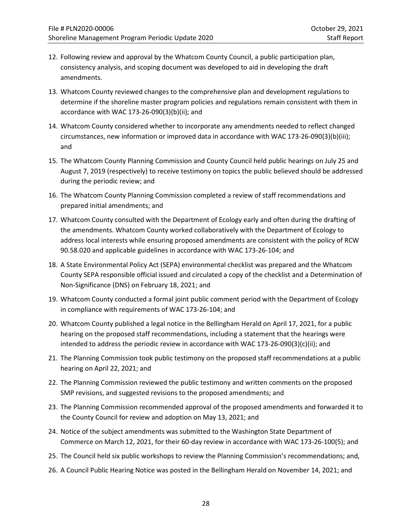- 12. Following review and approval by the Whatcom County Council, a public participation plan, consistency analysis, and scoping document was developed to aid in developing the draft amendments.
- 13. Whatcom County reviewed changes to the comprehensive plan and development regulations to determine if the shoreline master program policies and regulations remain consistent with them in accordance with WAC 173-26-090(3)(b)(ii); and
- 14. Whatcom County considered whether to incorporate any amendments needed to reflect changed circumstances, new information or improved data in accordance with WAC 173-26-090(3)(b)(iii); and
- 15. The Whatcom County Planning Commission and County Council held public hearings on July 25 and August 7, 2019 (respectively) to receive testimony on topics the public believed should be addressed during the periodic review; and
- 16. The Whatcom County Planning Commission completed a review of staff recommendations and prepared initial amendments; and
- 17. Whatcom County consulted with the Department of Ecology early and often during the drafting of the amendments. Whatcom County worked collaboratively with the Department of Ecology to address local interests while ensuring proposed amendments are consistent with the policy of RCW 90.58.020 and applicable guidelines in accordance with WAC 173-26-104; and
- 18. A State Environmental Policy Act (SEPA) environmental checklist was prepared and the Whatcom County SEPA responsible official issued and circulated a copy of the checklist and a Determination of Non-Significance (DNS) on February 18, 2021; and
- 19. Whatcom County conducted a formal joint public comment period with the Department of Ecology in compliance with requirements of WAC 173-26-104; and
- 20. Whatcom County published a legal notice in the Bellingham Herald on April 17, 2021, for a public hearing on the proposed staff recommendations, including a statement that the hearings were intended to address the periodic review in accordance with WAC 173-26-090(3)(c)(ii); and
- 21. The Planning Commission took public testimony on the proposed staff recommendations at a public hearing on April 22, 2021; and
- 22. The Planning Commission reviewed the public testimony and written comments on the proposed SMP revisions, and suggested revisions to the proposed amendments; and
- 23. The Planning Commission recommended approval of the proposed amendments and forwarded it to the County Council for review and adoption on May 13, 2021; and
- 24. Notice of the subject amendments was submitted to the Washington State Department of Commerce on March 12, 2021, for their 60-day review in accordance with WAC 173-26-100(5); and
- 25. The Council held six public workshops to review the Planning Commission's recommendations; and,
- 26. A Council Public Hearing Notice was posted in the Bellingham Herald on November 14, 2021; and